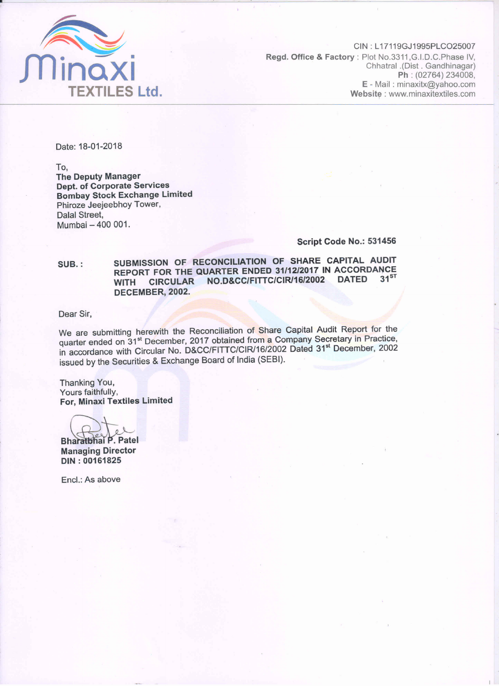

CIN: L17119GJ1995PLCO25007 Regd. Office & Factory: Plot No.3311, G.I.D.C. Phase IV, Chhatral .(Dist . Gandhinagar) Ph: (02764) 234008, E - Mail: minaxitx@yahoo.com Website: www.minaxitextiles.com

Date: 18-01-2018

To. **The Deputy Manager Dept. of Corporate Services Bombay Stock Exchange Limited** Phiroze Jeejeebhoy Tower, Dalal Street, Mumbai - 400 001.

#### Script Code No.: 531456

SUBMISSION OF RECONCILIATION OF SHARE CAPITAL AUDIT SUB.: REPORT FOR THE QUARTER ENDED 31/12/2017 IN ACCORDANCE  $31<sup>ST</sup>$ WITH CIRCULAR NO.D&CC/FITTC/CIR/16/2002 DATED DECEMBER, 2002.

Dear Sir.

We are submitting herewith the Reconciliation of Share Capital Audit Report for the quarter ended on 31<sup>st</sup> December, 2017 obtained from a Company Secretary in Practice, in accordance with Circular No. D&CC/FITTC/CIR/16/2002 Dated 31<sup>st</sup> December, 2002 issued by the Securities & Exchange Board of India (SEBI).

Thanking You, Yours faithfully, For, Minaxi Textiles Limited

Bharatbhai P. Patel **Managing Director** DIN: 00161825

Encl.: As above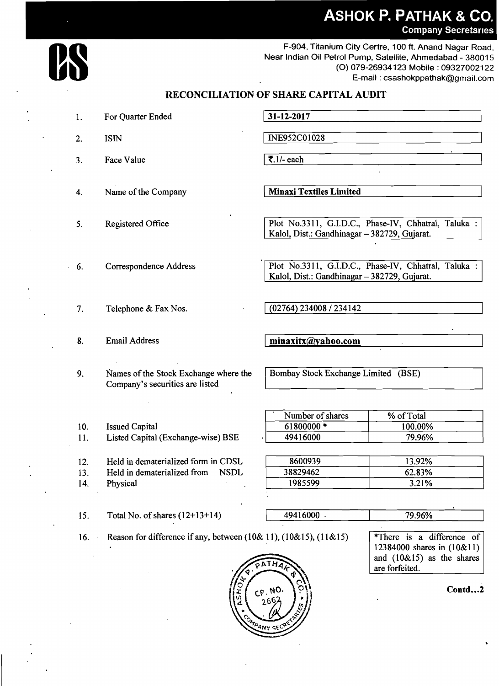## **ASHOK P. PATHAK & CO. Company Secretaries**

F-904, Titanium City Certre, 100 ft. Anand Nagar Road, Near Indian Oil Petrol Pump, Satellite, Ahmedabad - 380015 (0) 079-269341 23 Mobile : 09327002122 E-mail : csashokppathak@gmail.com

#### $31 - 12 - 2017$  $\mathbf{1}$ . For Quarter Ended ISIN INE952C01028  $2<sup>1</sup>$  $\overline{\mathbf{z}}$ .1/- each  $\overline{3}$ . Face Value Name of the Company ( **Minaxi Textiles Limited**   $\overline{4}$ . Plot No.3311, G.I.D.C., Phase-IV, Chhatral, Taluka : Kalol, Dist.: Gandhinagar - 382729, Gujarat.  $5<sub>1</sub>$ Registered Office Plot No.3311, G.I.D.C., Phase-IV, Chhatral, Taluka : Correspondence Address 6. Kalol, Dist.: Gandhinagar - 382729, Gujarat.  $(02764) 234008 / 234142$ 7. Telephone & Fax Nos. 8. Email Address minaxitx@yahoo.com Bombay Stock Exchange Limited (BSE) 9. Names of the Stock Exchange where the Company's securities are listed Number of shares % of Total 10. Issued Capital 61800000 \* 100.00% 11. Listed Capital (Exchange-wise) BSE 49416000 79.96% 12. Held in dematerialized form in CDSL 8600939 13.92% 13. Held in dematerialized from NSDL 38829462 62.83% 1985599  $3.21%$ 14. Physical 15. Total No. of shares  $(12+13+14)$  $49416000$ . 79.96%  $*$ There is a difference of 16. Reason for difference if any, between (10& 11), (10&15), (11&15) 12384000 shares in (10&11) and (10&15) as the shares  $\lambda T H$

**RECONCILIATION OF SHARE CAPITAL AUDIT** 

**Contd. ..2** 

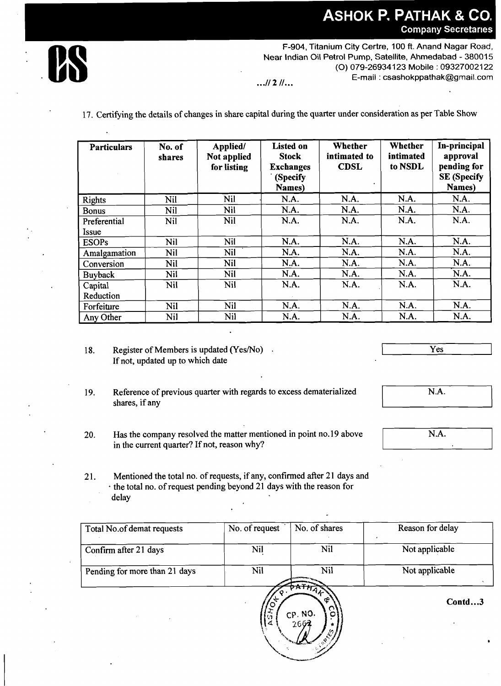# **ASHOK P. PATHAK & CO. Company Secretaries**



F-904, Titanium City Certre, 100 ft. Anand Nagar Road,<br>Near Indian Oil Petrol Pump, Satellite, Ahmedabad - 380015<br>(O) 079-26934123 Mobile : 09327002122<br>E-mail : csashokppathak@gmail.com Near Indian Oil Petrol Pump, Satellite, Ahmedabad - 380015 (O) 079-26934123 Mobile : 09327002122 E-mail : csashokppathak@gmail.com ... **112** /I ...

17. Certifying the details of changes in share capital during the quarter under consideration as per Table Show

| <b>Particulars</b>           | No. of<br>shares | Applied/<br>Not applied<br>for listing | <b>Listed on</b><br><b>Stock</b><br><b>Exchanges</b><br>(Specify<br>Names) | Whether<br>intimated to<br><b>CDSL</b> | Whether<br>intimated<br>to NSDL | In-principal<br>approval<br>pending for<br><b>SE</b> (Specify<br>Names) |
|------------------------------|------------------|----------------------------------------|----------------------------------------------------------------------------|----------------------------------------|---------------------------------|-------------------------------------------------------------------------|
| <b>Rights</b>                | Nil              | Nil                                    | N.A.                                                                       | N.A.                                   | N.A.                            | N.A.                                                                    |
| <b>Bonus</b>                 | Nil              | Nil                                    | N.A.                                                                       | N.A.                                   | N.A.                            | N.A.                                                                    |
| Preferential<br><b>Issue</b> | Nil              | Nil                                    | N.A.                                                                       | N.A.                                   | N.A.                            | N.A.                                                                    |
| <b>ESOPs</b>                 | Nil              | Nil                                    | N.A.                                                                       | N.A.                                   | N.A.                            | N.A.                                                                    |
| Amalgamation                 | Nil              | Nil                                    | N.A.                                                                       | N.A.                                   | N.A.                            | N.A.                                                                    |
| Conversion                   | Nil              | Nil                                    | N.A.                                                                       | N.A.                                   | N.A.                            | N.A.                                                                    |
| <b>Buyback</b>               | Nil              | Nil                                    | N.A.                                                                       | N.A.                                   | N.A.                            | N.A.                                                                    |
| Capital                      | Nil              | Nil                                    | N.A.                                                                       | N.A.                                   | N.A.                            | N.A.                                                                    |
| Reduction                    |                  |                                        |                                                                            |                                        |                                 |                                                                         |
| Forfeiture                   | <b>Nil</b>       | <b>Nil</b>                             | N.A.                                                                       | N.A.                                   | N.A.                            | N.A.                                                                    |
| Any Other                    | Nil              | Nil                                    | N.A.                                                                       | N.A.                                   | N.A.                            | N.A.                                                                    |

- 18. Register of Members is updated (Yes/No). If not, updated up to which date
- 19. Reference of previous quarter with regards to excess dematerialized shares, if any
- 20. Has the company resolved the matter mentioned in point no.19 above in the current quarter? If not, reason why?
- 21. Mentioned the total no. of requests, if any, confirmed after 21 days and the total no. of request pending beyond 21 days with the reason for delay

| Total No.of demat requests    | No. of request | No. of shares | Reason for delay |
|-------------------------------|----------------|---------------|------------------|
| Confirm after 21 days         | Nil            | <b>Nil</b>    | Not applicable   |
| Pending for more than 21 days | Nil            | Nil           | Not applicable   |
|                               |                | œ             | Contd3           |



Yes

N.A.

 $\overline{\text{N.A.}}$